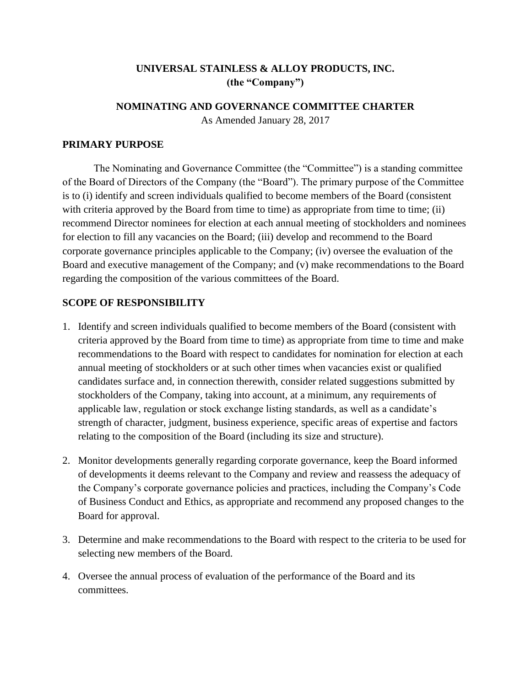# **UNIVERSAL STAINLESS & ALLOY PRODUCTS, INC. (the "Company")**

## **NOMINATING AND GOVERNANCE COMMITTEE CHARTER**

As Amended January 28, 2017

## **PRIMARY PURPOSE**

The Nominating and Governance Committee (the "Committee") is a standing committee of the Board of Directors of the Company (the "Board"). The primary purpose of the Committee is to (i) identify and screen individuals qualified to become members of the Board (consistent with criteria approved by the Board from time to time) as appropriate from time to time; (ii) recommend Director nominees for election at each annual meeting of stockholders and nominees for election to fill any vacancies on the Board; (iii) develop and recommend to the Board corporate governance principles applicable to the Company; (iv) oversee the evaluation of the Board and executive management of the Company; and (v) make recommendations to the Board regarding the composition of the various committees of the Board.

## **SCOPE OF RESPONSIBILITY**

- 1. Identify and screen individuals qualified to become members of the Board (consistent with criteria approved by the Board from time to time) as appropriate from time to time and make recommendations to the Board with respect to candidates for nomination for election at each annual meeting of stockholders or at such other times when vacancies exist or qualified candidates surface and, in connection therewith, consider related suggestions submitted by stockholders of the Company, taking into account, at a minimum, any requirements of applicable law, regulation or stock exchange listing standards, as well as a candidate's strength of character, judgment, business experience, specific areas of expertise and factors relating to the composition of the Board (including its size and structure).
- 2. Monitor developments generally regarding corporate governance, keep the Board informed of developments it deems relevant to the Company and review and reassess the adequacy of the Company's corporate governance policies and practices, including the Company's Code of Business Conduct and Ethics, as appropriate and recommend any proposed changes to the Board for approval.
- 3. Determine and make recommendations to the Board with respect to the criteria to be used for selecting new members of the Board.
- 4. Oversee the annual process of evaluation of the performance of the Board and its committees.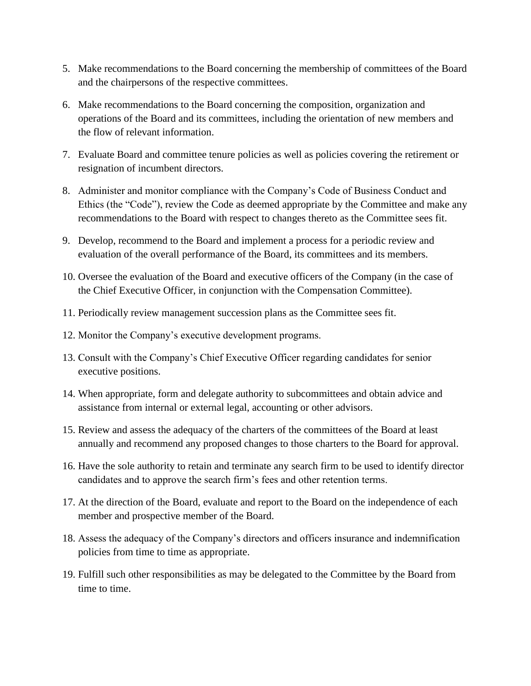- 5. Make recommendations to the Board concerning the membership of committees of the Board and the chairpersons of the respective committees.
- 6. Make recommendations to the Board concerning the composition, organization and operations of the Board and its committees, including the orientation of new members and the flow of relevant information.
- 7. Evaluate Board and committee tenure policies as well as policies covering the retirement or resignation of incumbent directors.
- 8. Administer and monitor compliance with the Company's Code of Business Conduct and Ethics (the "Code"), review the Code as deemed appropriate by the Committee and make any recommendations to the Board with respect to changes thereto as the Committee sees fit.
- 9. Develop, recommend to the Board and implement a process for a periodic review and evaluation of the overall performance of the Board, its committees and its members.
- 10. Oversee the evaluation of the Board and executive officers of the Company (in the case of the Chief Executive Officer, in conjunction with the Compensation Committee).
- 11. Periodically review management succession plans as the Committee sees fit.
- 12. Monitor the Company's executive development programs.
- 13. Consult with the Company's Chief Executive Officer regarding candidates for senior executive positions.
- 14. When appropriate, form and delegate authority to subcommittees and obtain advice and assistance from internal or external legal, accounting or other advisors.
- 15. Review and assess the adequacy of the charters of the committees of the Board at least annually and recommend any proposed changes to those charters to the Board for approval.
- 16. Have the sole authority to retain and terminate any search firm to be used to identify director candidates and to approve the search firm's fees and other retention terms.
- 17. At the direction of the Board, evaluate and report to the Board on the independence of each member and prospective member of the Board.
- 18. Assess the adequacy of the Company's directors and officers insurance and indemnification policies from time to time as appropriate.
- 19. Fulfill such other responsibilities as may be delegated to the Committee by the Board from time to time.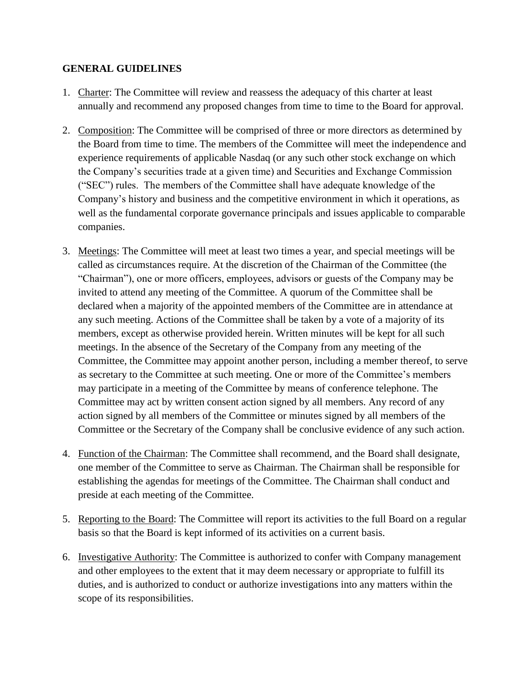## **GENERAL GUIDELINES**

- 1. Charter: The Committee will review and reassess the adequacy of this charter at least annually and recommend any proposed changes from time to time to the Board for approval.
- 2. Composition: The Committee will be comprised of three or more directors as determined by the Board from time to time. The members of the Committee will meet the independence and experience requirements of applicable Nasdaq (or any such other stock exchange on which the Company's securities trade at a given time) and Securities and Exchange Commission ("SEC") rules. The members of the Committee shall have adequate knowledge of the Company's history and business and the competitive environment in which it operations, as well as the fundamental corporate governance principals and issues applicable to comparable companies.
- 3. Meetings: The Committee will meet at least two times a year, and special meetings will be called as circumstances require. At the discretion of the Chairman of the Committee (the "Chairman"), one or more officers, employees, advisors or guests of the Company may be invited to attend any meeting of the Committee. A quorum of the Committee shall be declared when a majority of the appointed members of the Committee are in attendance at any such meeting. Actions of the Committee shall be taken by a vote of a majority of its members, except as otherwise provided herein. Written minutes will be kept for all such meetings. In the absence of the Secretary of the Company from any meeting of the Committee, the Committee may appoint another person, including a member thereof, to serve as secretary to the Committee at such meeting. One or more of the Committee's members may participate in a meeting of the Committee by means of conference telephone. The Committee may act by written consent action signed by all members. Any record of any action signed by all members of the Committee or minutes signed by all members of the Committee or the Secretary of the Company shall be conclusive evidence of any such action.
- 4. Function of the Chairman: The Committee shall recommend, and the Board shall designate, one member of the Committee to serve as Chairman. The Chairman shall be responsible for establishing the agendas for meetings of the Committee. The Chairman shall conduct and preside at each meeting of the Committee.
- 5. Reporting to the Board: The Committee will report its activities to the full Board on a regular basis so that the Board is kept informed of its activities on a current basis.
- 6. Investigative Authority: The Committee is authorized to confer with Company management and other employees to the extent that it may deem necessary or appropriate to fulfill its duties, and is authorized to conduct or authorize investigations into any matters within the scope of its responsibilities.